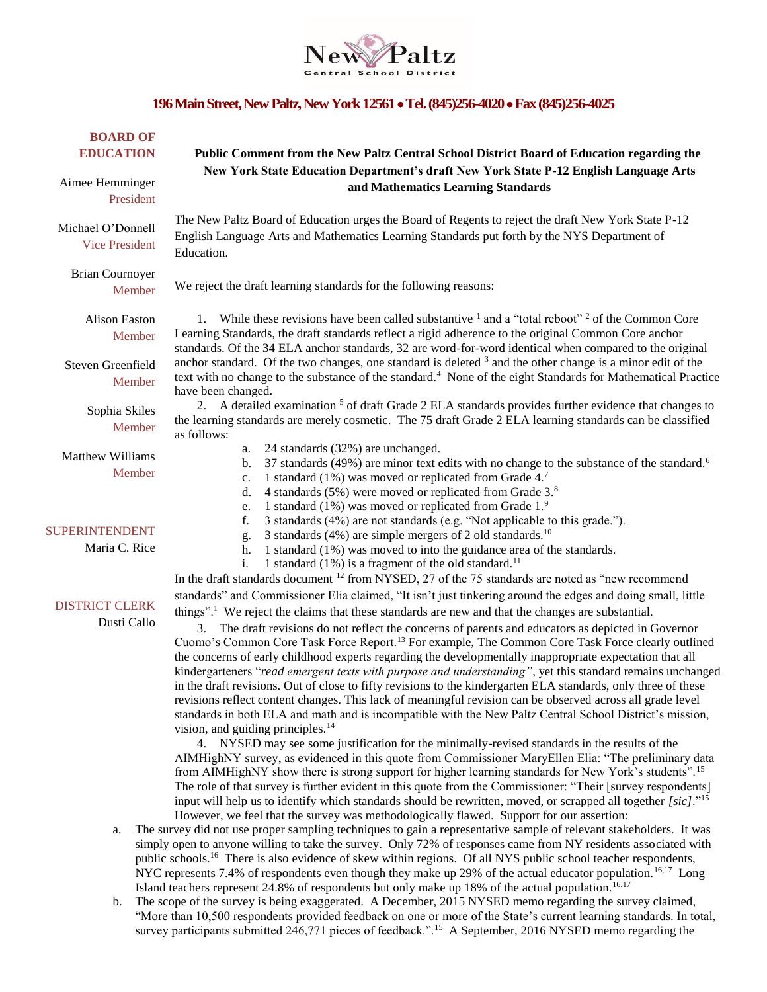

## **196 Main Street, New Paltz, New York 12561 Tel. (845)256-4020 Fax (845)256-4025**

| <b>BOARD OF</b><br><b>EDUCATION</b><br>Aimee Hemminger<br>President | Public Comment from the New Paltz Central School District Board of Education regarding the<br>New York State Education Department's draft New York State P-12 English Language Arts<br>and Mathematics Learning Standards                                                                                                                                                                                                                                                                                                                                                                                                                                                                                                                                                                                                                                                                                                                                                                                                                                                                                                                                                   |
|---------------------------------------------------------------------|-----------------------------------------------------------------------------------------------------------------------------------------------------------------------------------------------------------------------------------------------------------------------------------------------------------------------------------------------------------------------------------------------------------------------------------------------------------------------------------------------------------------------------------------------------------------------------------------------------------------------------------------------------------------------------------------------------------------------------------------------------------------------------------------------------------------------------------------------------------------------------------------------------------------------------------------------------------------------------------------------------------------------------------------------------------------------------------------------------------------------------------------------------------------------------|
| Michael O'Donnell<br><b>Vice President</b>                          | The New Paltz Board of Education urges the Board of Regents to reject the draft New York State P-12<br>English Language Arts and Mathematics Learning Standards put forth by the NYS Department of<br>Education.                                                                                                                                                                                                                                                                                                                                                                                                                                                                                                                                                                                                                                                                                                                                                                                                                                                                                                                                                            |
| <b>Brian Cournoyer</b><br>Member                                    | We reject the draft learning standards for the following reasons:                                                                                                                                                                                                                                                                                                                                                                                                                                                                                                                                                                                                                                                                                                                                                                                                                                                                                                                                                                                                                                                                                                           |
| <b>Alison Easton</b><br>Member<br>Steven Greenfield<br>Member       | 1. While these revisions have been called substantive $\frac{1}{2}$ and a "total reboot" $\frac{2}{2}$ of the Common Core<br>Learning Standards, the draft standards reflect a rigid adherence to the original Common Core anchor<br>standards. Of the 34 ELA anchor standards, 32 are word-for-word identical when compared to the original<br>anchor standard. Of the two changes, one standard is deleted $3$ and the other change is a minor edit of the<br>text with no change to the substance of the standard. <sup>4</sup> None of the eight Standards for Mathematical Practice<br>have been changed.                                                                                                                                                                                                                                                                                                                                                                                                                                                                                                                                                              |
| Sophia Skiles<br>Member                                             | 2. A detailed examination <sup>5</sup> of draft Grade 2 ELA standards provides further evidence that changes to<br>the learning standards are merely cosmetic. The 75 draft Grade 2 ELA learning standards can be classified<br>as follows:                                                                                                                                                                                                                                                                                                                                                                                                                                                                                                                                                                                                                                                                                                                                                                                                                                                                                                                                 |
| <b>Matthew Williams</b><br>Member                                   | 24 standards (32%) are unchanged.<br>a.<br>37 standards (49%) are minor text edits with no change to the substance of the standard. <sup>6</sup><br>b.<br>1 standard (1%) was moved or replicated from Grade 4.7<br>c.<br>4 standards (5%) were moved or replicated from Grade 3. <sup>8</sup><br>d.<br>1 standard (1%) was moved or replicated from Grade $1.^9$<br>e.                                                                                                                                                                                                                                                                                                                                                                                                                                                                                                                                                                                                                                                                                                                                                                                                     |
| <b>SUPERINTENDENT</b><br>Maria C. Rice                              | 3 standards (4%) are not standards (e.g. "Not applicable to this grade.").<br>f.<br>3 standards (4%) are simple mergers of 2 old standards. <sup>10</sup><br>g.<br>1 standard (1%) was moved to into the guidance area of the standards.<br>h.<br>1 standard $(1%)$ is a fragment of the old standard. <sup>11</sup><br>i.<br>In the draft standards document <sup>12</sup> from NYSED, 27 of the 75 standards are noted as "new recommend                                                                                                                                                                                                                                                                                                                                                                                                                                                                                                                                                                                                                                                                                                                                  |
| <b>DISTRICT CLERK</b><br>Dusti Callo                                | standards" and Commissioner Elia claimed, "It isn't just tinkering around the edges and doing small, little<br>things". <sup>1</sup> We reject the claims that these standards are new and that the changes are substantial.<br>3. The draft revisions do not reflect the concerns of parents and educators as depicted in Governor<br>Cuomo's Common Core Task Force Report. <sup>13</sup> For example, The Common Core Task Force clearly outlined<br>the concerns of early childhood experts regarding the developmentally inappropriate expectation that all<br>kindergarteners "read emergent texts with purpose and understanding", yet this standard remains unchanged<br>in the draft revisions. Out of close to fifty revisions to the kindergarten ELA standards, only three of these<br>revisions reflect content changes. This lack of meaningful revision can be observed across all grade level<br>standards in both ELA and math and is incompatible with the New Paltz Central School District's mission,<br>vision, and guiding principles. <sup>14</sup><br>4. NYSED may see some justification for the minimally-revised standards in the results of the |

AIMHighNY survey, as evidenced in this quote from Commissioner MaryEllen Elia: "The preliminary data from AIMHighNY show there is strong support for higher learning standards for New York's students".<sup>15</sup> The role of that survey is further evident in this quote from the Commissioner: "Their [survey respondents] input will help us to identify which standards should be rewritten, moved, or scrapped all together *[sic]*."<sup>15</sup> However, we feel that the survey was methodologically flawed. Support for our assertion:

- a. The survey did not use proper sampling techniques to gain a representative sample of relevant stakeholders. It was simply open to anyone willing to take the survey. Only 72% of responses came from NY residents associated with public schools.<sup>16</sup> There is also evidence of skew within regions. Of all NYS public school teacher respondents, NYC represents 7.4% of respondents even though they make up 29% of the actual educator population.<sup>16,17</sup> Long Island teachers represent 24.8% of respondents but only make up 18% of the actual population.<sup>16,17</sup>
- b. The scope of the survey is being exaggerated. A December, 2015 NYSED memo regarding the survey claimed, "More than 10,500 respondents provided feedback on one or more of the State's current learning standards. In total, survey participants submitted 246,771 pieces of feedback.".<sup>15</sup> A September, 2016 NYSED memo regarding the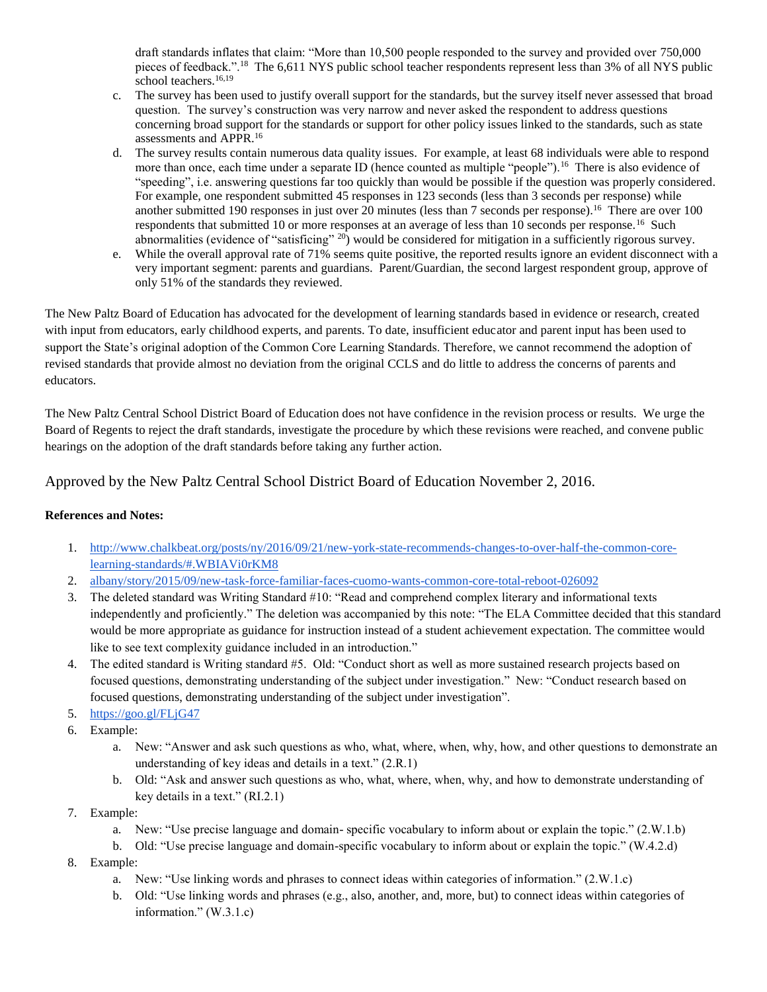draft standards inflates that claim: "More than 10,500 people responded to the survey and provided over 750,000 pieces of feedback.".<sup>18</sup> The 6,611 NYS public school teacher respondents represent less than 3% of all NYS public school teachers.<sup>16,19</sup>

- c. The survey has been used to justify overall support for the standards, but the survey itself never assessed that broad question. The survey's construction was very narrow and never asked the respondent to address questions concerning broad support for the standards or support for other policy issues linked to the standards, such as state assessments and APPR.<sup>16</sup>
- d. The survey results contain numerous data quality issues. For example, at least 68 individuals were able to respond more than once, each time under a separate ID (hence counted as multiple "people").<sup>16</sup> There is also evidence of "speeding", i.e. answering questions far too quickly than would be possible if the question was properly considered. For example, one respondent submitted 45 responses in 123 seconds (less than 3 seconds per response) while another submitted 190 responses in just over 20 minutes (less than 7 seconds per response).<sup>16</sup> There are over 100 respondents that submitted 10 or more responses at an average of less than 10 seconds per response.<sup>16</sup> Such abnormalities (evidence of "satisficing"  $^{20}$ ) would be considered for mitigation in a sufficiently rigorous survey.
- e. While the overall approval rate of 71% seems quite positive, the reported results ignore an evident disconnect with a very important segment: parents and guardians. Parent/Guardian, the second largest respondent group, approve of only 51% of the standards they reviewed.

The New Paltz Board of Education has advocated for the development of learning standards based in evidence or research, created with input from educators, early childhood experts, and parents. To date, insufficient educator and parent input has been used to support the State's original adoption of the Common Core Learning Standards. Therefore, we cannot recommend the adoption of revised standards that provide almost no deviation from the original CCLS and do little to address the concerns of parents and educators.

The New Paltz Central School District Board of Education does not have confidence in the revision process or results. We urge the Board of Regents to reject the draft standards, investigate the procedure by which these revisions were reached, and convene public hearings on the adoption of the draft standards before taking any further action.

Approved by the New Paltz Central School District Board of Education November 2, 2016.

## **References and Notes:**

- 1. [http://www.chalkbeat.org/posts/ny/2016/09/21/new-york-state-recommends-changes-to-over-half-the-common-core](http://www.chalkbeat.org/posts/ny/2016/09/21/new-york-state-recommends-changes-to-over-half-the-common-core-learning-standards/#.WBIAVi0rKM8)[learning-standards/#.WBIAVi0rKM8](http://www.chalkbeat.org/posts/ny/2016/09/21/new-york-state-recommends-changes-to-over-half-the-common-core-learning-standards/#.WBIAVi0rKM8)
- 2. [albany/story/2015/09/new-task-force-familiar-faces-cuomo-wants-common-core-total-reboot-026092](http://www.politico.com/states/new-york/albany/story/2015/09/new-task-force-familiar-faces-cuomo-wants-common-core-total-reboot-026092)
- 3. The deleted standard was Writing Standard #10: "Read and comprehend complex literary and informational texts independently and proficiently." The deletion was accompanied by this note: "The ELA Committee decided that this standard would be more appropriate as guidance for instruction instead of a student achievement expectation. The committee would like to see text complexity guidance included in an introduction."
- 4. The edited standard is Writing standard #5. Old: "Conduct short as well as more sustained research projects based on focused questions, demonstrating understanding of the subject under investigation." New: "Conduct research based on focused questions, demonstrating understanding of the subject under investigation".
- 5. <https://goo.gl/FLjG47>
- 6. Example:
	- a. New: "Answer and ask such questions as who, what, where, when, why, how, and other questions to demonstrate an understanding of key ideas and details in a text." (2.R.1)
	- b. Old: "Ask and answer such questions as who, what, where, when, why, and how to demonstrate understanding of key details in a text." (RI.2.1)
- 7. Example:
	- a. New: "Use precise language and domain- specific vocabulary to inform about or explain the topic." (2.W.1.b)
	- b. Old: "Use precise language and domain-specific vocabulary to inform about or explain the topic." (W.4.2.d)
- 8. Example:
	- a. New: "Use linking words and phrases to connect ideas within categories of information." (2.W.1.c)
	- b. Old: "Use linking words and phrases (e.g., also, another, and, more, but) to connect ideas within categories of information." (W.3.1.c)